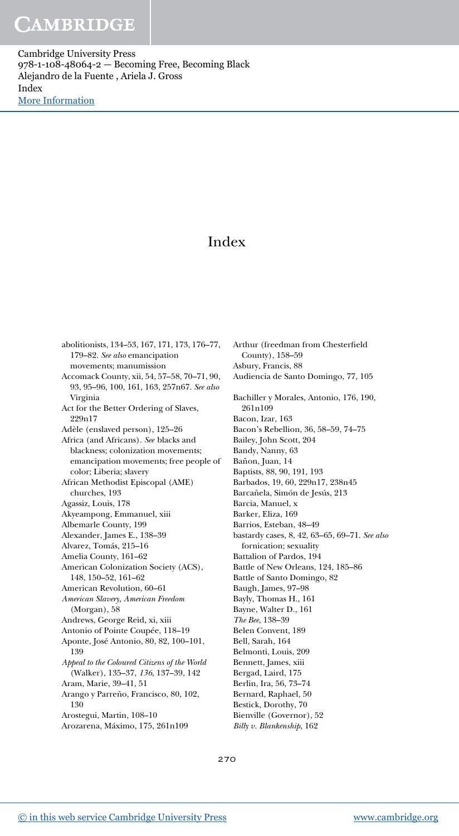Cambridge University Press 978-1-108-48064-2 — Becoming Free, Becoming Black Alejandro de la Fuente , Ariela J. Gross Index [More Information](www.cambridge.org/9781108480642)

### Index

abolitionists, 134–53, 167, 171, 173, 176–77, 179–82. See also emancipation movements; manumission Accomack County, xii, 54, 57–58, 70–71, 90, 93, 95–96, 100, 161, 163, 257n67. See also Virginia Act for the Better Ordering of Slaves, 999n17 Adèle (enslaved person), 125–26 Africa (and Africans). See blacks and blackness; colonization movements; emancipation movements; free people of color; Liberia; slavery African Methodist Episcopal (AME) churches, 193 Agassiz, Louis, 178 Akyeampong, Emmanuel, xiii Albemarle County, 199 Alexander, James E., 138–39 Alvarez, Tomás, 215–16 Amelia County, 161–62 American Colonization Society (ACS), 148, 150–52, 161–62 American Revolution, 60–61 American Slavery, American Freedom (Morgan), 58 Andrews, George Reid, xi, xiii Antonio of Pointe Coupée, 118–19 Aponte, José Antonio, 80, 82, 100–101, 139 Appeal to the Coloured Citizens of the World (Walker), 135–37, 136, 137–39, 142 Aram, Marie, 39–41, 51 Arango y Parreño, Francisco, 80, 102, 130 Arostegui, Martin, 108–10

Arozarena, Máximo, 175, 261n109

Arthur (freedman from Chesterfield County), 158–59 Asbury, Francis, 88 Audiencia de Santo Domingo, 77, 105 Bachiller y Morales, Antonio, 176, 190, 261n109 Bacon, Izar, 163 Bacon's Rebellion, 36, 58–59, 74–75 Bailey, John Scott, 204 Bandy, Nanny, 63 Bañon, Juan, 14 Baptists, 88, 90, 191, 193 Barbados, 19, 60, 229n17, 238n45 Barcañela, Simón de Jesús, 213 Barcia, Manuel, x Barker, Eliza, 169 Barrios, Esteban, 48–49 bastardy cases, 8, 42, 63–65, 69–71. See also fornication; sexuality Battalion of Pardos, 194 Battle of New Orleans, 124, 185–86 Battle of Santo Domingo, 82 Baugh, James, 97–98 Bayly, Thomas H., 161 Bayne, Walter D., 161 The Bee, 138–39 Belen Convent, 189 Bell, Sarah, 164 Belmonti, Louis, 209 Bennett, James, xiii Bergad, Laird, 175 Berlin, Ira, 56, 73–74 Bernard, Raphael, 50 Bestick, Dorothy, 70 Bienville (Governor), 52 Billy v. Blankenship, 162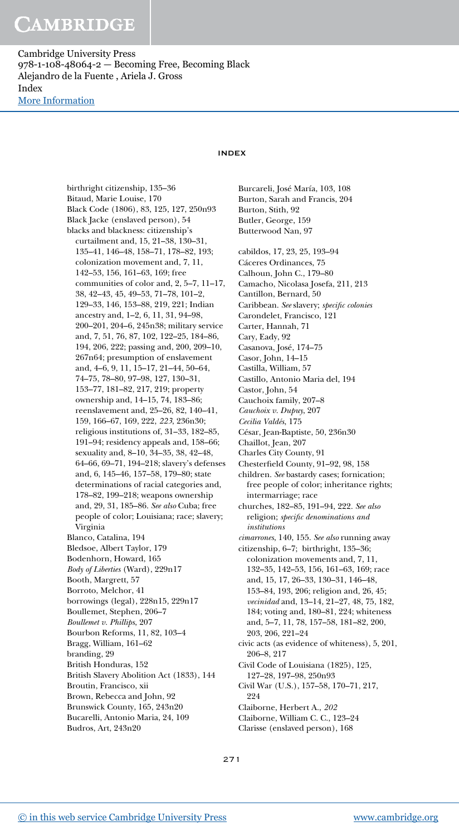Cambridge University Press 978-1-108-48064-2 — Becoming Free, Becoming Black Alejandro de la Fuente , Ariela J. Gross Index [More Information](www.cambridge.org/9781108480642)

### INDEX

birthright citizenship, 135–36 Bitaud, Marie Louise, 170 Black Code (1806), 83, 125, 127, 250n93 Black Jacke (enslaved person), 54 blacks and blackness: citizenship's curtailment and, 15, 21–38, 130–31, 135–41, 146–48, 158–71, 178–82, 193; colonization movement and, 7, 11, 142–53, 156, 161–63, 169; free communities of color and, 2, 5–7, 11–17, 38, 42–43, 45, 49–53, 71–78, 101–2, 129–33, 146, 153–88, 219, 221; Indian ancestry and, 1–2, 6, 11, 31, 94–98, 200–201, 204–6, 245n38; military service and, 7, 51, 76, 87, 102, 122–25, 184–86, 194, 206, 222; passing and, 200, 209–10, 267n64; presumption of enslavement and, 4–6, 9, 11, 15–17, 21–44, 50–64, 74–75, 78–80, 97–98, 127, 130–31, 153–77, 181–82, 217, 219; property ownership and, 14–15, 74, 183–86; reenslavement and, 25–26, 82, 140–41, 159, 166–67, 169, 222, 223, 236n30; religious institutions of, 31–33, 182–85, 191–94; residency appeals and, 158–66; sexuality and, 8–10, 34–35, 38, 42–48, 64–66, 69–71, 194–218; slavery's defenses and, 6, 145–46, 157–58, 179–80; state determinations of racial categories and, 178–82, 199–218; weapons ownership and, 29, 31, 185–86. See also Cuba; free people of color; Louisiana; race; slavery; Virginia Blanco, Catalina, 194 Bledsoe, Albert Taylor, 179 Bodenhorn, Howard, 165 Body of Liberties (Ward), 229n17 Booth, Margrett, 57 Borroto, Melchor, 41 borrowings (legal), 228n15, 229n17 Boullemet, Stephen, 206–7 Boullemet v. Phillips, 207 Bourbon Reforms, 11, 82, 103–4 Bragg, William, 161–62 branding, 29 British Honduras, 152 British Slavery Abolition Act (1833), 144 Broutin, Francisco, xii Brown, Rebecca and John, 92 Brunswick County, 165, 243n20 Bucarelli, Antonio Maria, 24, 109 Budros, Art, 243n20

Butler, George, 159 Butterwood Nan, 97 cabildos, 17, 23, 25, 193–94 Cáceres Ordinances, 75 Calhoun, John C., 179–80 Camacho, Nicolasa Josefa, 211, 213 Cantillon, Bernard, 50 Caribbean. See slavery; specific colonies Carondelet, Francisco, 121 Carter, Hannah, 71 Cary, Eady, 92 Casanova, José, 174–75 Casor, John, 14–15 Castilla, William, 57 Castillo, Antonio Maria del, 194 Castor, John, 54 Cauchoix family, 207–8 Cauchoix v. Dupuy, 207 Cecilia Valdés, 175 César, Jean-Baptiste, 50, 236n30 Chaillot, Jean, 207 Charles City County, 91 Chesterfield County, 91–92, 98, 158 children. See bastardy cases; fornication; free people of color; inheritance rights; intermarriage; race

Burcareli, José María, 103, 108 Burton, Sarah and Francis, 204

Burton, Stith, 92

- churches, 182–85, 191–94, 222. See also religion; specific denominations and institutions
- cimarrones, 140, 155. See also running away
- citizenship, 6–7; birthright, 135–36; colonization movements and, 7, 11, 132–35, 142–53, 156, 161–63, 169; race and, 15, 17, 26–33, 130–31, 146–48, 153–84, 193, 206; religion and, 26, 45; vecinidad and, 13–14, 21–27, 48, 75, 182, 184; voting and, 180–81, 224; whiteness and, 5–7, 11, 78, 157–58, 181–82, 200, 203, 206, 221–24 civic acts (as evidence of whiteness), 5, 201, 206–8, 217 Civil Code of Louisiana (1825), 125, 127–28, 197–98, 250n93 Civil War (U.S.), 157–58, 170–71, 217, 224 Claiborne, Herbert A., 202
- Claiborne, William C. C., 123–24
- Clarisse (enslaved person), 168

271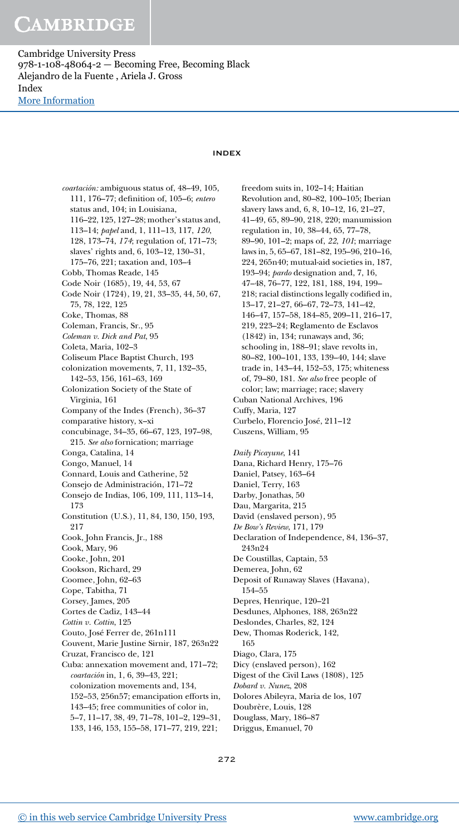Cambridge University Press 978-1-108-48064-2 — Becoming Free, Becoming Black Alejandro de la Fuente , Ariela J. Gross Index [More Information](www.cambridge.org/9781108480642)

### INDEX

coartación: ambiguous status of, 48–49, 105, 111, 176–77; definition of, 105–6; entero status and, 104; in Louisiana, 116–22, 125, 127–28; mother's status and, 113–14; papel and, 1, 111–13, 117, 120, 128, 173–74, 174; regulation of, 171–73; slaves' rights and, 6, 103–12, 130–31, 175–76, 221; taxation and, 103–4 Cobb, Thomas Reade, 145 Code Noir (1685), 19, 44, 53, 67 Code Noir (1724), 19, 21, 33–35, 44, 50, 67, 75, 78, 122, 125 Coke, Thomas, 88 Coleman, Francis, Sr., 95 Coleman v. Dick and Pat, 95 Coleta, Maria, 102–3 Coliseum Place Baptist Church, 193 colonization movements, 7, 11, 132–35, 142–53, 156, 161–63, 169 Colonization Society of the State of Virginia, 161 Company of the Indes (French), 36–37 comparative history, x–xi concubinage, 34–35, 66–67, 123, 197–98, 215. See also fornication; marriage Conga, Catalina, 14 Congo, Manuel, 14 Connard, Louis and Catherine, 52 Consejo de Administración, 171–72 Consejo de Indias, 106, 109, 111, 113–14, 173 Constitution (U.S.), 11, 84, 130, 150, 193, 217 Cook, John Francis, Jr., 188 Cook, Mary, 96 Cooke, John, 201 Cookson, Richard, 29 Coomee, John, 62–63 Cope, Tabitha, 71 Corsey, James, 205 Cortes de Cadiz, 143–44 Cottin v. Cottin, 125 Couto, José Ferrer de, 261n111 Couvent, Marie Justine Sirnir, 187, 263n22 Cruzat, Francisco de, 121 Cuba: annexation movement and, 171–72; coartación in, 1, 6, 39–43, 221; colonization movements and, 134, 152–53, 256n57; emancipation efforts in, 143–45; free communities of color in, 5–7, 11–17, 38, 49, 71–78, 101–2, 129–31, 133, 146, 153, 155–58, 171–77, 219, 221;

freedom suits in, 102–14; Haitian Revolution and, 80–82, 100–105; Iberian slavery laws and, 6, 8, 10–12, 16, 21–27, 41–49, 65, 89–90, 218, 220; manumission regulation in, 10, 38–44, 65, 77–78, 89–90, 101–2; maps of, 22, 101; marriage laws in, 5, 65–67, 181–82, 195–96, 210–16, 224, 265n40; mutual-aid societies in, 187, 193–94; pardo designation and, 7, 16, 47–48, 76–77, 122, 181, 188, 194, 199– 218; racial distinctions legally codified in, 13–17, 21–27, 66–67, 72–73, 141–42, 146–47, 157–58, 184–85, 209–11, 216–17, 219, 223–24; Reglamento de Esclavos (1842) in, 134; runaways and, 36; schooling in, 188–91; slave revolts in, 80–82, 100–101, 133, 139–40, 144; slave trade in, 143–44, 152–53, 175; whiteness of, 79–80, 181. See also free people of color; law; marriage; race; slavery Cuban National Archives, 196 Cuffy, Maria, 127 Curbelo, Florencio José, 211–12 Cuszens, William, 95 Daily Picayune, 141 Dana, Richard Henry, 175–76 Daniel, Patsey, 163–64 Daniel, Terry, 163 Darby, Jonathas, 50 Dau, Margarita, 215 David (enslaved person), 95 De Bow's Review, 171, 179 Declaration of Independence, 84, 136–37, 243n24 De Coustillas, Captain, 53 Demerea, John, 62 Deposit of Runaway Slaves (Havana), 154–55 Depres, Henrique, 120–21 Desdunes, Alphones, 188, 263n22 Deslondes, Charles, 82, 124 Dew, Thomas Roderick, 142, 165 Diago, Clara, 175 Dicy (enslaved person), 162 Digest of the Civil Laws (1808), 125 Dobard v. Nunez, 208 Dolores Abileyra, Maria de los, 107 Doubrère, Louis, 128 Douglass, Mary, 186–87

Driggus, Emanuel, 70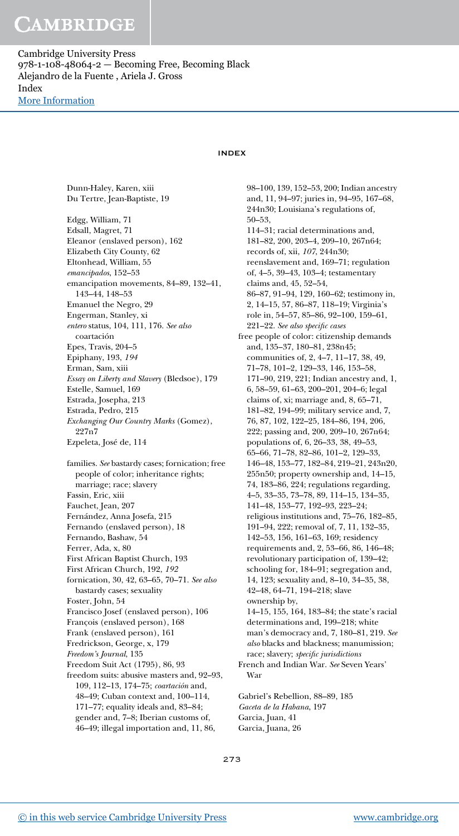Cambridge University Press 978-1-108-48064-2 — Becoming Free, Becoming Black Alejandro de la Fuente , Ariela J. Gross Index [More Information](www.cambridge.org/9781108480642)

Dunn-Haley, Karen, xiii

### INDEX

Du Tertre, Jean-Baptiste, 19 Edgg, William, 71 Edsall, Magret, 71 Eleanor (enslaved person), 162 Elizabeth City County, 62 Eltonhead, William, 55 emancipados, 152–53 emancipation movements, 84–89, 132–41, 143–44, 148–53 Emanuel the Negro, 29 Engerman, Stanley, xi entero status, 104, 111, 176. See also coartación Epes, Travis, 204–5 Epiphany, 193, 194 Erman, Sam, xiii Essay on Liberty and Slavery (Bledsoe), 179 Estelle, Samuel, 169 Estrada, Josepha, 213 Estrada, Pedro, 215 Exchanging Our Country Marks (Gomez), 227n7 Ezpeleta, José de, 114 families. See bastardy cases; fornication; free people of color; inheritance rights; marriage; race; slavery Fassin, Eric, xiii Fauchet, Jean, 207 Fernández, Anna Josefa, 215 Fernando (enslaved person), 18 Fernando, Bashaw, 54 Ferrer, Ada, x, 80 First African Baptist Church, 193 First African Church, 192, 192 fornication, 30, 42, 63–65, 70–71. See also bastardy cases; sexuality Foster, John, 54 Francisco Josef (enslaved person), 106 François (enslaved person), 168 Frank (enslaved person), 161 Fredrickson, George, x, 179 Freedom's Journal, 135 Freedom Suit Act (1795), 86, 93 freedom suits: abusive masters and, 92–93, 109, 112–13, 174–75; coartación and, 48–49; Cuban context and, 100–114, 171–77; equality ideals and, 83–84; gender and, 7–8; Iberian customs of,

98–100, 139, 152–53, 200; Indian ancestry and, 11, 94–97; juries in, 94–95, 167–68, 244n30; Louisiana's regulations of, 50–53, 114–31; racial determinations and, 181–82, 200, 203–4, 209–10, 267n64; records of, xii, 107, 244n30; reenslavement and, 169–71; regulation of, 4–5, 39–43, 103–4; testamentary claims and, 45, 52–54, 86–87, 91–94, 129, 160–62; testimony in, 2, 14–15, 57, 86–87, 118–19; Virginia's role in, 54–57, 85–86, 92–100, 159–61, 221–22. See also specific cases free people of color: citizenship demands and, 135–37, 180–81, 238n45; communities of, 2, 4–7, 11–17, 38, 49, 71–78, 101–2, 129–33, 146, 153–58, 171–90, 219, 221; Indian ancestry and, 1, 6, 58–59, 61–63, 200–201, 204–6; legal claims of, xi; marriage and, 8, 65–71, 181–82, 194–99; military service and, 7, 76, 87, 102, 122–25, 184–86, 194, 206, 222; passing and, 200, 209–10, 267n64; populations of, 6, 26–33, 38, 49–53, 65–66, 71–78, 82–86, 101–2, 129–33, 146–48, 153–77, 182–84, 219–21, 243n20, 255n50; property ownership and, 14–15, 74, 183–86, 224; regulations regarding, 4–5, 33–35, 73–78, 89, 114–15, 134–35, 141–48, 153–77, 192–93, 223–24; religious institutions and, 75–76, 182–85, 191–94, 222; removal of, 7, 11, 132–35, 142–53, 156, 161–63, 169; residency requirements and, 2, 53–66, 86, 146–48; revolutionary participation of, 139–42; schooling for, 184–91; segregation and, 14, 123; sexuality and, 8–10, 34–35, 38, 42–48, 64–71, 194–218; slave ownership by, 14–15, 155, 164, 183–84; the state's racial determinations and, 199–218; white man's democracy and, 7, 180–81, 219. See also blacks and blackness; manumission; race; slavery; specific jurisdictions French and Indian War. See Seven Years' War

Gabriel's Rebellion, 88–89, 185 Gaceta de la Habana, 197 Garcia, Juan, 41 Garcia, Juana, 26

273

46–49; illegal importation and, 11, 86,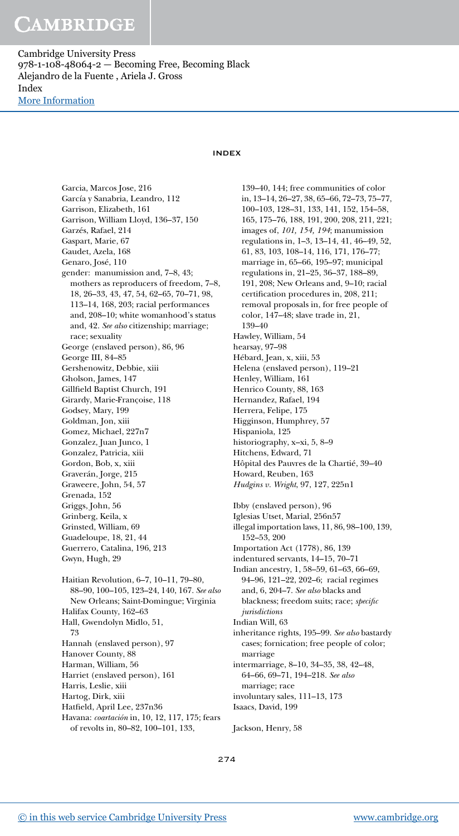Cambridge University Press 978-1-108-48064-2 — Becoming Free, Becoming Black Alejandro de la Fuente , Ariela J. Gross Index [More Information](www.cambridge.org/9781108480642)

### INDEX

Garcia, Marcos Jose, 216 García y Sanabria, Leandro, 112 Garrison, Elizabeth, 161 Garrison, William Lloyd, 136–37, 150 Garzés, Rafael, 214 Gaspart, Marie, 67 Gaudet, Azela, 168 Genaro, José, 110 gender: manumission and, 7–8, 43; mothers as reproducers of freedom, 7–8, 18, 26–33, 43, 47, 54, 62–65, 70–71, 98, 113–14, 168, 203; racial performances and, 208–10; white womanhood's status and, 42. See also citizenship; marriage; race; sexuality George (enslaved person), 86, 96 George III, 84–85 Gershenowitz, Debbie, xiii Gholson, James, 147 Gillfield Baptist Church, 191 Girardy, Marie-Françoise, 118 Godsey, Mary, 199 Goldman, Jon, xiii Gomez, Michael, 227n7 Gonzalez, Juan Junco, 1 Gonzalez, Patricia, xiii Gordon, Bob, x, xiii Graverán, Jorge, 215 Graweere, John, 54, 57 Grenada, 152 Griggs, John, 56 Grinberg, Keila, x Grinsted, William, 69 Guadeloupe, 18, 21, 44 Guerrero, Catalina, 196, 213 Gwyn, Hugh, 29 Haitian Revolution, 6–7, 10–11, 79–80, 88–90, 100–105, 123–24, 140, 167. See also New Orleans; Saint-Domingue; Virginia Halifax County, 162–63 Hall, Gwendolyn Midlo, 51, 73 Hannah (enslaved person), 97 Hanover County, 88 Harman, William, 56 Harriet (enslaved person), 161 Harris, Leslie, xiii Hartog, Dirk, xiii Hatfield, April Lee, 237n36 Havana: coartación in, 10, 12, 117, 175; fears of revolts in, 80–82, 100–101, 133,

139–40, 144; free communities of color in, 13–14, 26–27, 38, 65–66, 72–73, 75–77, 100–103, 128–31, 133, 141, 152, 154–58, 165, 175–76, 188, 191, 200, 208, 211, 221; images of, 101, 154, 194; manumission regulations in, 1–3, 13–14, 41, 46–49, 52, 61, 83, 103, 108–14, 116, 171, 176–77; marriage in, 65–66, 195–97; municipal regulations in, 21–25, 36–37, 188–89, 191, 208; New Orleans and, 9–10; racial certification procedures in, 208, 211; removal proposals in, for free people of color, 147–48; slave trade in, 21, 139–40 Hawley, William, 54 hearsay, 97–98 Hébard, Jean, x, xiii, 53 Helena (enslaved person), 119–21 Henley, William, 161 Henrico County, 88, 163 Hernandez, Rafael, 194 Herrera, Felipe, 175 Higginson, Humphrey, 57 Hispaniola, 125 historiography, x–xi, 5, 8–9 Hitchens, Edward, 71 Hôpital des Pauvres de la Chartié, 39–40 Howard, Reuben, 163 Hudgins v. Wright, 97, 127, 225n1 Ibby (enslaved person), 96 Iglesias Utset, Marial, 256n57 illegal importation laws, 11, 86, 98–100, 139, 152–53, 200 Importation Act (1778), 86, 139 indentured servants, 14–15, 70–71 Indian ancestry, 1, 58–59, 61–63, 66–69, 94–96, 121–22, 202–6; racial regimes and, 6, 204–7. See also blacks and blackness; freedom suits; race; specific jurisdictions Indian Will, 63 inheritance rights, 195–99. See also bastardy cases; fornication; free people of color; marriage intermarriage, 8–10, 34–35, 38, 42–48, 64–66, 69–71, 194–218. See also marriage; race involuntary sales, 111–13, 173 Isaacs, David, 199

Jackson, Henry, 58

274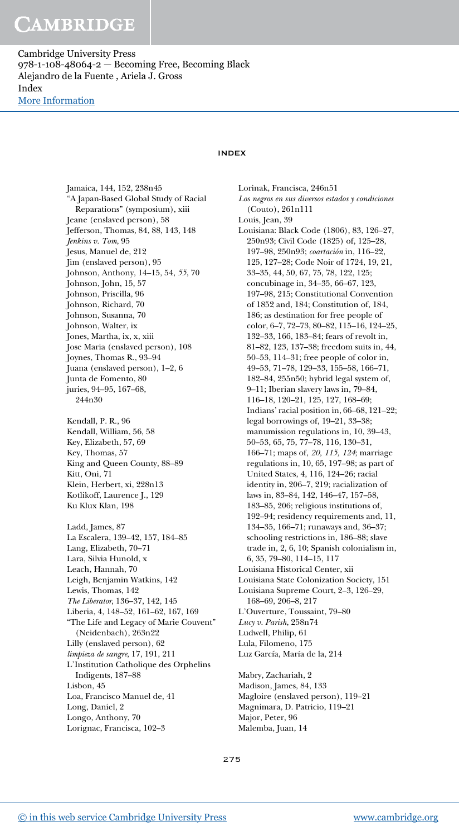Cambridge University Press 978-1-108-48064-2 — Becoming Free, Becoming Black Alejandro de la Fuente , Ariela J. Gross Index [More Information](www.cambridge.org/9781108480642)

Jamaica, 144, 152, 238n45

### INDEX

"A Japan-Based Global Study of Racial Reparations" (symposium), xiii Jeane (enslaved person), 58 Jefferson, Thomas, 84, 88, 143, 148 Jenkins v. Tom, 95 Jesus, Manuel de, 212 Jim (enslaved person), 95 Johnson, Anthony, 14–15, 54, 55, 70 Johnson, John, 15, 57 Johnson, Priscilla, 96 Johnson, Richard, 70 Johnson, Susanna, 70 Johnson, Walter, ix Jones, Martha, ix, x, xiii Jose Maria (enslaved person), 108 Joynes, Thomas R., 93–94 Juana (enslaved person), 1–2, 6 Junta de Fomento, 80 juries, 94–95, 167–68, 244n30 Kendall, P. R., 96 Kendall, William, 56, 58 Key, Elizabeth, 57, 69 Key, Thomas, 57 King and Queen County, 88–89 Kitt, Oni, 71 Klein, Herbert, xi, 228n13 Kotlikoff, Laurence J., 129 Ku Klux Klan, 198 Ladd, James, 87 La Escalera, 139–42, 157, 184–85 Lang, Elizabeth, 70–71 Lara, Silvia Hunold, x Leach, Hannah, 70 Leigh, Benjamin Watkins, 142 Lewis, Thomas, 142 The Liberator, 136–37, 142, 145 Liberia, 4, 148–52, 161–62, 167, 169 "The Life and Legacy of Marie Couvent" (Neidenbach), 263n22 Lilly (enslaved person), 62 limpieza de sangre, 17, 191, 211 L'Institution Catholique des Orphelins Indigents, 187–88 Lisbon, 45 Loa, Francisco Manuel de, 41 Long, Daniel, 2 Longo, Anthony, 70 Lorignac, Francisca, 102–3

Lorinak, Francisca, 246n51 Los negros en sus diversos estados y condiciones (Couto), 261n111 Louis, Jean, 39 Louisiana: Black Code (1806), 83, 126–27, 250n93; Civil Code (1825) of, 125–28, 197–98, 250n93; coartación in, 116–22, 125, 127–28; Code Noir of 1724, 19, 21, 33–35, 44, 50, 67, 75, 78, 122, 125; concubinage in, 34–35, 66–67, 123, 197–98, 215; Constitutional Convention of 1852 and, 184; Constitution of, 184, 186; as destination for free people of color, 6–7, 72–73, 80–82, 115–16, 124–25, 132–33, 166, 183–84; fears of revolt in, 81–82, 123, 137–38; freedom suits in, 44, 50–53, 114–31; free people of color in, 49–53, 71–78, 129–33, 155–58, 166–71, 182–84, 255n50; hybrid legal system of, 9–11; Iberian slavery laws in, 79–84, 116–18, 120–21, 125, 127, 168–69; Indians' racial position in, 66–68, 121–22; legal borrowings of, 19–21, 33–38; manumission regulations in, 10, 39–43, 50–53, 65, 75, 77–78, 116, 130–31, 166–71; maps of, 20, 115, 124; marriage regulations in, 10, 65, 197–98; as part of United States, 4, 116, 124–26; racial identity in, 206–7, 219; racialization of laws in, 83–84, 142, 146–47, 157–58, 183–85, 206; religious institutions of, 192–94; residency requirements and, 11, 134–35, 166–71; runaways and, 36–37; schooling restrictions in, 186–88; slave trade in, 2, 6, 10; Spanish colonialism in, 6, 35, 79–80, 114–15, 117 Louisiana Historical Center, xii Louisiana State Colonization Society, 151 Louisiana Supreme Court, 2–3, 126–29, 168–69, 206–8, 217 L'Ouverture, Toussaint, 79–80 Lucy v. Parish, 258n74 Ludwell, Philip, 61 Lula, Filomeno, 175 Luz García, María de la, 214 Mabry, Zachariah, 2

Madison, James, 84, 133 Magloire (enslaved person), 119–21 Magnimara, D. Patricio, 119–21 Major, Peter, 96 Malemba, Juan, 14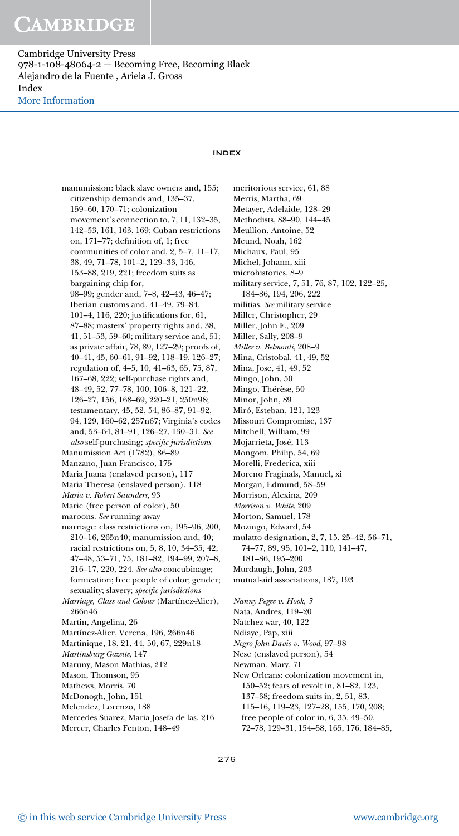Cambridge University Press 978-1-108-48064-2 — Becoming Free, Becoming Black Alejandro de la Fuente , Ariela J. Gross Index [More Information](www.cambridge.org/9781108480642)

### INDEX

manumission: black slave owners and, 155; citizenship demands and, 135–37, 159–60, 170–71; colonization movement's connection to, 7, 11, 132–35, 142–53, 161, 163, 169; Cuban restrictions on, 171–77; definition of, 1; free communities of color and, 2, 5–7, 11–17, 38, 49, 71–78, 101–2, 129–33, 146, 153–88, 219, 221; freedom suits as bargaining chip for, 98–99; gender and, 7–8, 42–43, 46–47; Iberian customs and, 41–49, 79–84, 101–4, 116, 220; justifications for, 61, 87–88; masters' property rights and, 38, 41, 51–53, 59–60; military service and, 51; as private affair, 78, 89, 127–29; proofs of, 40–41, 45, 60–61, 91–92, 118–19, 126–27; regulation of, 4–5, 10, 41–63, 65, 75, 87, 167–68, 222; self-purchase rights and, 48–49, 52, 77–78, 100, 106–8, 121–22, 126–27, 156, 168–69, 220–21, 250n98; testamentary, 45, 52, 54, 86–87, 91–92, 94, 129, 160–62, 257n67; Virginia's codes and, 53–64, 84–91, 126–27, 130–31. See also self-purchasing; specific jurisdictions Manumission Act (1782), 86–89 Manzano, Juan Francisco, 175 Maria Juana (enslaved person), 117 Maria Theresa (enslaved person), 118 Maria v. Robert Saunders, 93 Marie (free person of color), 50 maroons. See running away marriage: class restrictions on, 195–96, 200, 210–16, 265n40; manumission and, 40; racial restrictions on, 5, 8, 10, 34–35, 42, 47–48, 53–71, 75, 181–82, 194–99, 207–8, 216–17, 220, 224. See also concubinage; fornication; free people of color; gender; sexuality; slavery; specific jurisdictions Marriage, Class and Colour (Martínez-Alier), 266n46 Martin, Angelina, 26 Martínez-Alier, Verena, 196, 266n46 Martinique, 18, 21, 44, 50, 67, 229n18 Martinsburg Gazette, 147 Maruny, Mason Mathias, 212 Mason, Thomson, 95 Mathews, Morris, 70 McDonogh, John, 151 Melendez, Lorenzo, 188 Mercedes Suarez, Maria Josefa de las, 216 Mercer, Charles Fenton, 148–49

meritorious service, 61, 88 Merris, Martha, 69 Metayer, Adelaide, 128–29 Methodists, 88–90, 144–45 Meullion, Antoine, 52 Meund, Noah, 162 Michaux, Paul, 95 Michel, Johann, xiii microhistories, 8–9 military service, 7, 51, 76, 87, 102, 122–25, 184–86, 194, 206, 222 militias. See military service Miller, Christopher, 29 Miller, John F., 209 Miller, Sally, 208–9 Miller v. Belmonti, 208–9 Mina, Cristobal, 41, 49, 52 Mina, Jose, 41, 49, 52 Mingo, John, 50 Mingo, Thérèse, 50 Minor, John, 89 Miró, Esteban, 121, 123 Missouri Compromise, 137 Mitchell, William, 99 Mojarrieta, José, 113 Mongom, Philip, 54, 69 Morelli, Frederica, xiii Moreno Fraginals, Manuel, xi Morgan, Edmund, 58–59 Morrison, Alexina, 209 Morrison v. White, 209 Morton, Samuel, 178 Mozingo, Edward, 54 mulatto designation, 2, 7, 15, 25–42, 56–71, 74–77, 89, 95, 101–2, 110, 141–47, 181–86, 195–200 Murdaugh, John, 203 mutual-aid associations, 187, 193 Nanny Pegee v. Hook, 3 Nata, Andres, 119–20 Natchez war, 40, 122 Ndiaye, Pap, xiii Negro John Davis v. Wood, 97–98 Nese (enslaved person), 54 Newman, Mary, 71 New Orleans: colonization movement in, 150–52; fears of revolt in, 81–82, 123, 137–38; freedom suits in, 2, 51, 83,

- 115–16, 119–23, 127–28, 155, 170, 208;
- free people of color in, 6, 35, 49–50,
- 72–78, 129–31, 154–58, 165, 176, 184–85,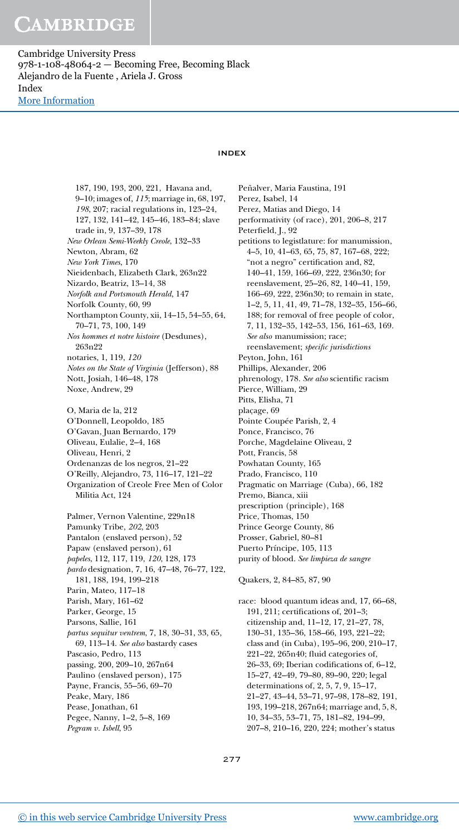Cambridge University Press 978-1-108-48064-2 — Becoming Free, Becoming Black Alejandro de la Fuente , Ariela J. Gross Index [More Information](www.cambridge.org/9781108480642)

### INDEX

187, 190, 193, 200, 221, Havana and, 9–10; images of, 115; marriage in, 68, 197, 198, 207; racial regulations in, 123–24, 127, 132, 141–42, 145–46, 183–84; slave trade in, 9, 137–39, 178 New Orlean Semi-Weekly Creole, 132–33 Newton, Abram, 62 New York Times, 170 Nieidenbach, Elizabeth Clark, 263n22 Nizardo, Beatriz, 13–14, 38 Norfolk and Portsmouth Herald, 147 Norfolk County, 60, 99 Northampton County, xii, 14–15, 54–55, 64, 70–71, 73, 100, 149 Nos hommes et notre histoire (Desdunes), 263n22 notaries, 1, 119, 120 Notes on the State of Virginia (Jefferson), 88 Nott, Josiah, 146–48, 178 Noxe, Andrew, 29 O, Maria de la, 212 O'Donnell, Leopoldo, 185 O'Gavan, Juan Bernardo, 179 Oliveau, Eulalie, 2–4, 168 Oliveau, Henri, 2 Ordenanzas de los negros, 21–22 O'Reilly, Alejandro, 73, 116–17, 121–22 Organization of Creole Free Men of Color Militia Act, 124 Palmer, Vernon Valentine, 229n18 Pamunky Tribe, 202, 203 Pantalon (enslaved person), 52 Papaw (enslaved person), 61 papeles, 112, 117, 119, 120, 128, 173 pardo designation, 7, 16, 47–48, 76–77, 122, 181, 188, 194, 199–218 Parin, Mateo, 117–18 Parish, Mary, 161–62 Parker, George, 15 Parsons, Sallie, 161 partus sequitur ventrem, 7, 18, 30–31, 33, 65, 69, 113–14. See also bastardy cases Pascasio, Pedro, 113 passing, 200, 209–10, 267n64 Paulino (enslaved person), 175 Payne, Francis, 55–56, 69–70 Peake, Mary, 186 Pease, Jonathan, 61 Pegee, Nanny, 1–2, 5–8, 169 Pegram v. Isbell, 95

Peñalver, Maria Faustina, 191 Perez, Isabel, 14 Perez, Matias and Diego, 14 performativity (of race), 201, 206–8, 217 Peterfield, J., 92 petitions to legistlature: for manumission, 4–5, 10, 41–63, 65, 75, 87, 167–68, 222; "not a negro" certification and, 82, 140–41, 159, 166–69, 222, 236n30; for reenslavement, 25–26, 82, 140–41, 159, 166–69, 222, 236n30; to remain in state, 1–2, 5, 11, 41, 49, 71–78, 132–35, 156–66, 188; for removal of free people of color, 7, 11, 132–35, 142–53, 156, 161–63, 169. See also manumission; race; reenslavement; specific jurisdictions Peyton, John, 161 Phillips, Alexander, 206 phrenology, 178. See also scientific racism Pierce, William, 29 Pitts, Elisha, 71 plaçage, 69 Pointe Coupée Parish, 2, 4 Ponce, Francisco, 76 Porche, Magdelaine Oliveau, 2 Pott, Francis, 58 Powhatan County, 165 Prado, Francisco, 110 Pragmatic on Marriage (Cuba), 66, 182 Premo, Bianca, xiii prescription (principle), 168 Price, Thomas, 150 Prince George County, 86 Prosser, Gabriel, 80–81 Puerto Príncipe, 105, 113 purity of blood. See limpieza de sangre Quakers, 2, 84–85, 87, 90

race: blood quantum ideas and, 17, 66–68, 191, 211; certifications of, 201–3; citizenship and, 11–12, 17, 21–27, 78, 130–31, 135–36, 158–66, 193, 221–22; class and (in Cuba), 195–96, 200, 210–17, 221–22, 265n40; fluid categories of, 26–33, 69; Iberian codifications of, 6–12, 15–27, 42–49, 79–80, 89–90, 220; legal determinations of, 2, 5, 7, 9, 15–17, 21–27, 43–44, 53–71, 97–98, 178–82, 191, 193, 199–218, 267n64; marriage and, 5, 8, 10, 34–35, 53–71, 75, 181–82, 194–99, 207–8, 210–16, 220, 224; mother's status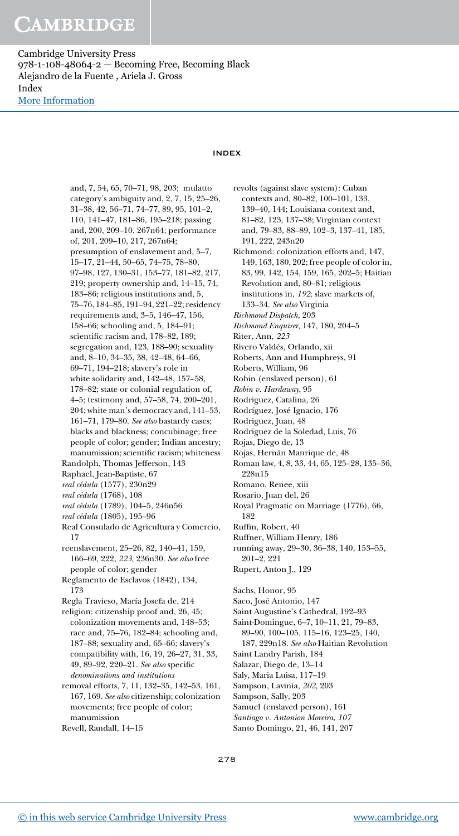Cambridge University Press 978-1-108-48064-2 — Becoming Free, Becoming Black Alejandro de la Fuente , Ariela J. Gross Index [More Information](www.cambridge.org/9781108480642)

### INDEX

and, 7, 54, 65, 70–71, 98, 203; mulatto category's ambiguity and, 2, 7, 15, 25–26, 31–38, 42, 56–71, 74–77, 89, 95, 101–2, 110, 141–47, 181–86, 195–218; passing and, 200, 209–10, 267n64; performance of, 201, 209–10, 217, 267n64; presumption of enslavement and, 5–7, 15–17, 21–44, 50–65, 74–75, 78–80, 97–98, 127, 130–31, 153–77, 181–82, 217, 219; property ownership and, 14–15, 74, 183–86; religious institutions and, 5, 75–76, 184–85, 191–94, 221–22; residency requirements and, 3–5, 146–47, 156, 158–66; schooling and, 5, 184–91; scientific racism and, 178–82, 189; segregation and, 123, 188–90; sexuality and, 8–10, 34–35, 38, 42–48, 64–66, 69–71, 194–218; slavery's role in white solidarity and, 142–48, 157–58, 178–82; state or colonial regulation of, 4–5; testimony and, 57–58, 74, 200–201, 204; white man's democracy and, 141–53, 161–71, 179–80. See also bastardy cases; blacks and blackness; concubinage; free people of color; gender; Indian ancestry; manumission; scientific racism; whiteness Randolph, Thomas Jefferson, 143 Raphael, Jean-Baptiste, 67 real cédula (1577), 230n29 real cédula (1768), 108 real cédula (1789), 104–5, 246n56 real cédula (1805), 195–96 Real Consulado de Agricultura y Comercio, 17 reenslavement, 25–26, 82, 140–41, 159, 166–69, 222, 223, 236n30. See also free people of color; gender Reglamento de Esclavos (1842), 134, 173 Regla Travieso, María Josefa de, 214 religion: citizenship proof and, 26, 45; colonization movements and, 148–53; race and, 75–76, 182–84; schooling and, 187–88; sexuality and, 65–66; slavery's compatibility with, 16, 19, 26–27, 31, 33, 49, 89–92, 220–21. See also specific denominations and institutions removal efforts, 7, 11, 132–35, 142–53, 161, 167, 169. See also citizenship; colonization movements; free people of color;

manumission Revell, Randall, 14–15 revolts (against slave system): Cuban contexts and, 80–82, 100–101, 133, 139–40, 144; Louisiana context and, 81–82, 123, 137–38; Virginian context and, 79–83, 88–89, 102–3, 137–41, 185, 191, 222, 243n20

Richmond: colonization efforts and, 147, 149, 163, 180, 202; free people of color in, 83, 99, 142, 154, 159, 165, 202–5; Haitian Revolution and, 80–81; religious institutions in, 192; slave markets of, 133–34. See also Virginia

Richmond Dispatch, 203

- Richmond Enquirer, 147, 180, 204–5
- Riter, Ann, 223
- Rivero Valdés, Orlando, xii

Roberts, Ann and Humphreys, 91

- Roberts, William, 96
- Robin (enslaved person), 61
- Robin v. Hardaway, 95
- Rodriguez, Catalina, 26
- Rodríguez, José Ignacio, 176
- Rodriguez, Juan, 48
- Rodriguez de la Soledad, Luis, 76
- Rojas, Diego de, 13
- Rojas, Hernán Manrique de, 48

Roman law, 4, 8, 33, 44, 65, 125–28, 135–36, 228n15

- Romano, Renee, xiii
- Rosario, Juan del, 26
- Royal Pragmatic on Marriage (1776), 66, 182
- Ruffin, Robert, 40
- Ruffner, William Henry, 186
- running away, 29–30, 36–38, 140, 153–55,
- 201–2, 221
- Rupert, Anton J., 129

Sachs, Honor, 95

- Saco, José Antonio, 147
- Saint Augustine's Cathedral, 192–93
- Saint-Domingue, 6–7, 10–11, 21, 79–83,
	- 89–90, 100–105, 115–16, 123–25, 140,
- 187, 229n18. See also Haitian Revolution Saint Landry Parish, 184
- Salazar, Diego de, 13–14
- Saly, Maria Luisa, 117–19
- Sampson, Lavinia, 202, 203
- Sampson, Sally, 203
- Samuel (enslaved person), 161
- Santiago v. Antonion Moreira, 107
- Santo Domingo, 21, 46, 141, 207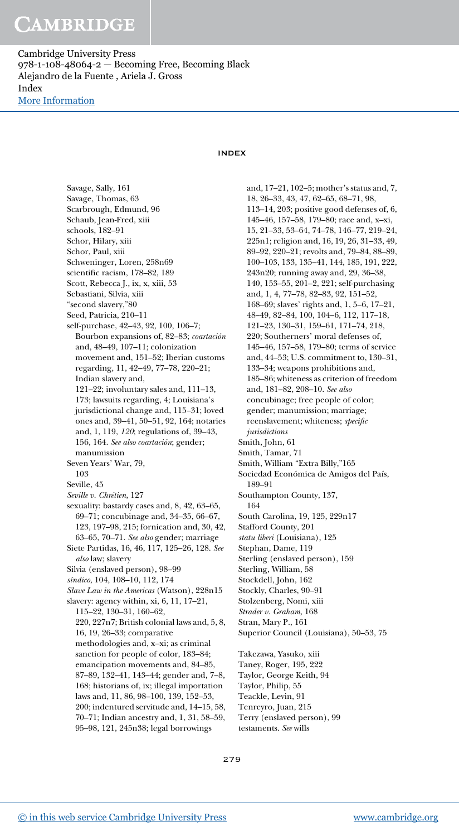Cambridge University Press 978-1-108-48064-2 — Becoming Free, Becoming Black Alejandro de la Fuente , Ariela J. Gross Index [More Information](www.cambridge.org/9781108480642)

### INDEX

Savage, Sally, 161 Savage, Thomas, 63 Scarbrough, Edmund, 96 Schaub, Jean-Fred, xiii schools, 182–91 Schor, Hilary, xiii Schor, Paul, xiii Schweninger, Loren, 258n69 scientific racism, 178–82, 189 Scott, Rebecca J., ix, x, xiii, 53 Sebastiani, Silvia, xiii "second slavery,"80 Seed, Patricia, 210–11 self-purchase, 42–43, 92, 100, 106–7; Bourbon expansions of, 82–83; coartación and, 48–49, 107–11; colonization movement and, 151–52; Iberian customs regarding, 11, 42–49, 77–78, 220–21; Indian slavery and, 121–22; involuntary sales and, 111–13, 173; lawsuits regarding, 4; Louisiana's jurisdictional change and, 115–31; loved ones and, 39–41, 50–51, 92, 164; notaries and, 1, 119, 120; regulations of, 39–43, 156, 164. See also coartación; gender; manumission Seven Years' War, 79, 103 Seville, 45 Seville v. Chrétien, 127 sexuality: bastardy cases and, 8, 42, 63–65, 69–71; concubinage and, 34–35, 66–67, 123, 197–98, 215; fornication and, 30, 42, 63–65, 70–71. See also gender; marriage Siete Partidas, 16, 46, 117, 125–26, 128. See also law; slavery Silvia (enslaved person), 98–99 síndico, 104, 108–10, 112, 174 Slave Law in the Americas (Watson), 228n15 slavery: agency within, xi, 6, 11, 17–21, 115–22, 130–31, 160–62, 220, 227n7; British colonial laws and, 5, 8, 16, 19, 26–33; comparative methodologies and, x–xi; as criminal sanction for people of color, 183–84; emancipation movements and, 84–85, 87–89, 132–41, 143–44; gender and, 7–8, 168; historians of, ix; illegal importation laws and, 11, 86, 98–100, 139, 152–53, 200; indentured servitude and, 14–15, 58, 70–71; Indian ancestry and, 1, 31, 58–59, 95–98, 121, 245n38; legal borrowings

and, 17–21, 102–5; mother's status and, 7, 18, 26–33, 43, 47, 62–65, 68–71, 98, 113–14, 203; positive good defenses of, 6, 145–46, 157–58, 179–80; race and, x–xi, 15, 21–33, 53–64, 74–78, 146–77, 219–24, 225n1; religion and, 16, 19, 26, 31–33, 49, 89–92, 220–21; revolts and, 79–84, 88–89, 100–103, 133, 135–41, 144, 185, 191, 222, 243n20; running away and, 29, 36–38, 140, 153–55, 201–2, 221; self-purchasing and, 1, 4, 77–78, 82–83, 92, 151–52, 168–69; slaves' rights and, 1, 5–6, 17–21, 48–49, 82–84, 100, 104–6, 112, 117–18, 121–23, 130–31, 159–61, 171–74, 218, 220; Southerners' moral defenses of, 145–46, 157–58, 179–80; terms of service and, 44–53; U.S. commitment to, 130–31, 133–34; weapons prohibitions and, 185–86; whiteness as criterion of freedom and, 181–82, 208–10. See also concubinage; free people of color; gender; manumission; marriage; reenslavement; whiteness; specific jurisdictions Smith, John, 61 Smith, Tamar, 71 Smith, William "Extra Billy,"165 Sociedad Económica de Amigos del País, 189–91 Southampton County, 137, 164 South Carolina, 19, 125, 229n17 Stafford County, 201 statu liberi (Louisiana), 125 Stephan, Dame, 119 Sterling (enslaved person), 159 Sterling, William, 58 Stockdell, John, 162 Stockly, Charles, 90–91 Stolzenberg, Nomi, xiii Strader v. Graham, 168 Stran, Mary P., 161 Superior Council (Louisiana), 50–53, 75 Takezawa, Yasuko, xiii Taney, Roger, 195, 222 Taylor, George Keith, 94 Taylor, Philip, 55 Teackle, Levin, 91 Tenreyro, Juan, 215 Terry (enslaved person), 99 testaments. See wills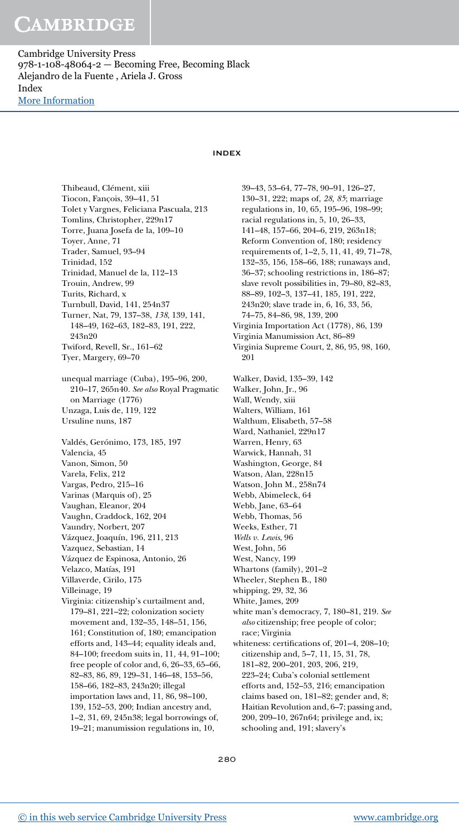Cambridge University Press 978-1-108-48064-2 — Becoming Free, Becoming Black Alejandro de la Fuente , Ariela J. Gross Index [More Information](www.cambridge.org/9781108480642)

### INDEX

Thibeaud, Clément, xiii Tiocon, Fançois, 39–41, 51 Tolet y Vargnes, Feliciana Pascuala, 213 Tomlins, Christopher, 229n17 Torre, Juana Josefa de la, 109–10 Toyer, Anne, 71 Trader, Samuel, 93–94 Trinidad, 152 Trinidad, Manuel de la, 112–13 Trouin, Andrew, 99 Turits, Richard, x Turnbull, David, 141, 254n37 Turner, Nat, 79, 137–38, 138, 139, 141, 148–49, 162–63, 182–83, 191, 222, 243n20 Twiford, Revell, Sr., 161–62 Tyer, Margery, 69–70 unequal marriage (Cuba), 195–96, 200, 210–17, 265n40. See also Royal Pragmatic on Marriage (1776) Unzaga, Luis de, 119, 122 Ursuline nuns, 187 Valdés, Gerónimo, 173, 185, 197 Valencia, 45 Vanon, Simon, 50 Varela, Felix, 212 Vargas, Pedro, 215–16 Varinas (Marquis of), 25 Vaughan, Eleanor, 204 Vaughn, Craddock, 162, 204 Vaundry, Norbert, 207 Vázquez, Joaquín, 196, 211, 213 Vazquez, Sebastian, 14 Vázquez de Espinosa, Antonio, 26 Velazco, Matías, 191 Villaverde, Cirilo, 175 Villeinage, 19 Virginia: citizenship's curtailment and, 179–81, 221–22; colonization society movement and, 132–35, 148–51, 156, 161; Constitution of, 180; emancipation efforts and, 143–44; equality ideals and, 84–100; freedom suits in, 11, 44, 91–100; free people of color and, 6, 26–33, 65–66, 82–83, 86, 89, 129–31, 146–48, 153–56, 158–66, 182–83, 243n20; illegal importation laws and, 11, 86, 98–100, 139, 152–53, 200; Indian ancestry and, 1–2, 31, 69, 245n38; legal borrowings of, 19–21; manumission regulations in, 10,

39–43, 53–64, 77–78, 90–91, 126–27, 130–31, 222; maps of, 28, 85; marriage regulations in, 10, 65, 195–96, 198–99; racial regulations in, 5, 10, 26–33, 141–48, 157–66, 204–6, 219, 263n18; Reform Convention of, 180; residency requirements of, 1–2, 5, 11, 41, 49, 71–78, 132–35, 156, 158–66, 188; runaways and, 36–37; schooling restrictions in, 186–87; slave revolt possibilities in, 79–80, 82–83, 88–89, 102–3, 137–41, 185, 191, 222, 243n20; slave trade in, 6, 16, 33, 56, 74–75, 84–86, 98, 139, 200 Virginia Importation Act (1778), 86, 139 Virginia Manumission Act, 86–89 Virginia Supreme Court, 2, 86, 95, 98, 160, 201 Walker, David, 135–39, 142 Walker, John, Jr., 96 Wall, Wendy, xiii Walters, William, 161 Walthum, Elisabeth, 57–58 Ward, Nathaniel, 229n17 Warren, Henry, 63 Warwick, Hannah, 31 Washington, George, 84 Watson, Alan, 228n15 Watson, John M., 258n74 Webb, Abimeleck, 64 Webb, Jane, 63–64 Webb, Thomas, 56 Weeks, Esther, 71 Wells v. Lewis, 96 West, John, 56 West, Nancy, 199 Whartons (family), 201–2 Wheeler, Stephen B., 180 whipping, 29, 32, 36 White, James, 209 white man's democracy, 7, 180–81, 219. See also citizenship; free people of color; race; Virginia whiteness: certifications of, 201–4, 208–10; citizenship and, 5–7, 11, 15, 31, 78, 181–82, 200–201, 203, 206, 219, 223–24; Cuba's colonial settlement efforts and, 152–53, 216; emancipation claims based on, 181–82; gender and, 8; Haitian Revolution and, 6–7; passing and, 200, 209–10, 267n64; privilege and, ix; schooling and, 191; slavery's

280